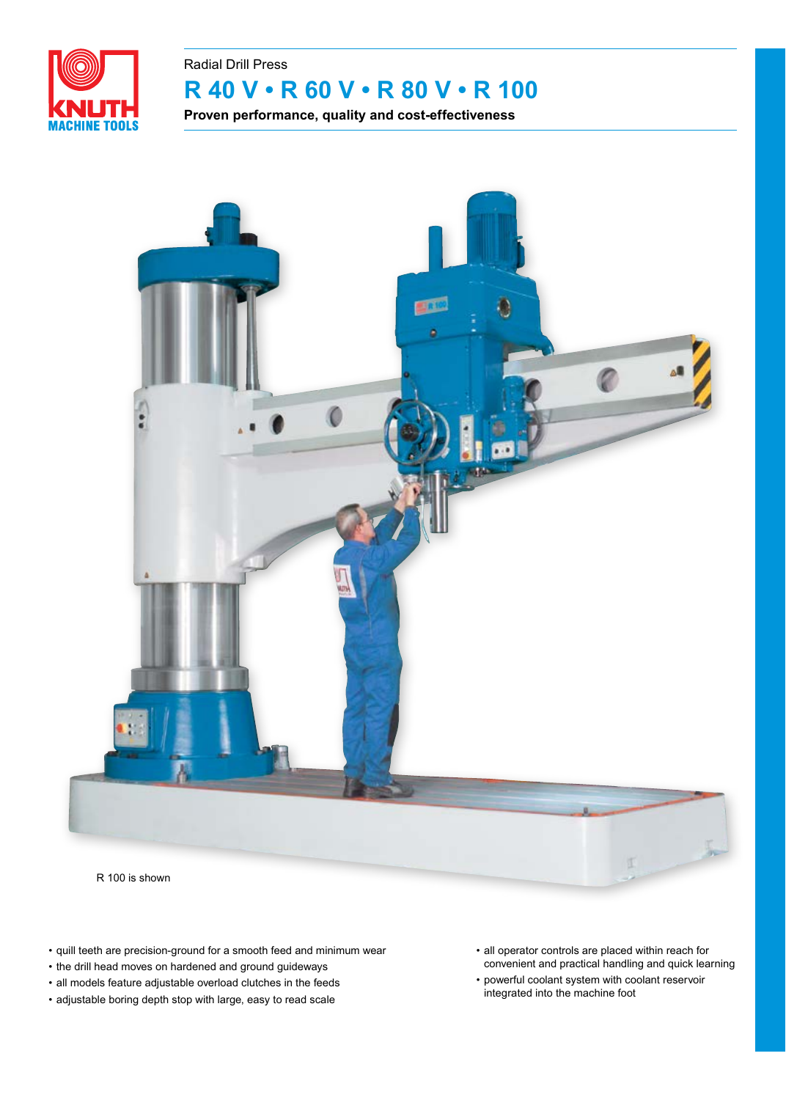

## **R 40 V • R 60 V • R 80 V • R 100** Radial Drill Press

**Proven performance, quality and cost-effectiveness**



R 100 is shown

- quill teeth are precision-ground for a smooth feed and minimum wear
- the drill head moves on hardened and ground guideways
- all models feature adjustable overload clutches in the feeds
- adjustable boring depth stop with large, easy to read scale
- all operator controls are placed within reach for convenient and practical handling and quick learning
- powerful coolant system with coolant reservoir integrated into the machine foot